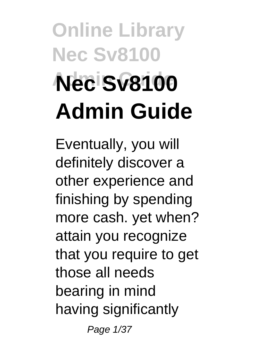# **Online Library Nec Sv8100 Admin Guide Nec Sv8100 Admin Guide**

Eventually, you will definitely discover a other experience and finishing by spending more cash. yet when? attain you recognize that you require to get those all needs bearing in mind having significantly

Page 1/37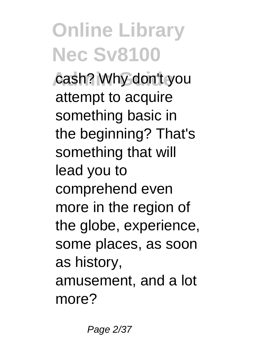cash? Why don't you attempt to acquire something basic in the beginning? That's something that will lead you to comprehend even more in the region of the globe, experience, some places, as soon as history, amusement, and a lot more?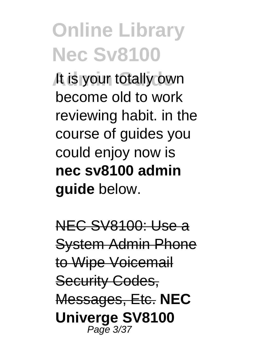**It is your totally own** become old to work reviewing habit. in the course of guides you could enjoy now is **nec sv8100 admin guide** below.

NEC SV8100: Use a System Admin Phone to Wipe Voicemail Security Codes. Messages, Etc. **NEC Univerge SV8100** Page 3/37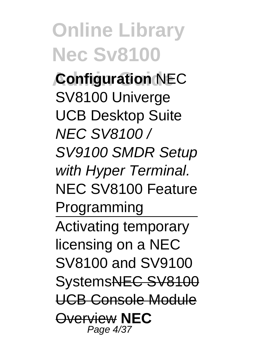**Online Library Nec Sv8100 Configuration NEC** SV8100 Univerge UCB Desktop Suite NEC SV8100 / SV9100 SMDR Setup with Hyper Terminal. NEC SV8100 Feature Programming Activating temporary licensing on a NEC SV8100 and SV9100 SystemsNEC SV8100 UCB Console Module Overview **NEC** Page 4/37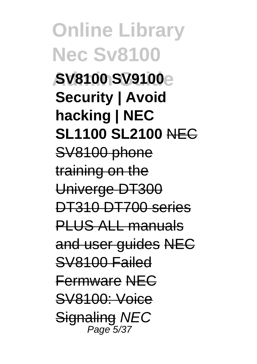**Online Library Nec Sv8100 Admin Guide SV8100 SV9100 Security | Avoid hacking | NEC SL1100 SL2100** NEC SV8100 phone training on the Univerge DT300 DT310 DT700 series PLUS ALL manuals and user guides NEC SV8100 Failed Fermware NEC SV8100: Voice **Signaling NEC** Page 5/3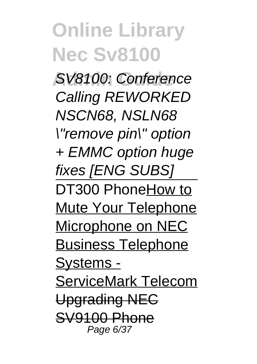**Admin Guide** SV8100: Conference Calling REWORKED NSCN68, NSLN68 \"remove pin\" option + EMMC option huge fixes **[ENG SUBS]** DT300 PhoneHow to Mute Your Telephone Microphone on NEC Business Telephone Systems - ServiceMark Telecom Upgrading NEC SV9100 Phone Page 6/37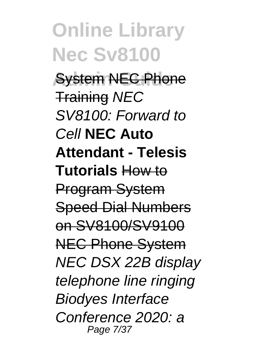**Online Library Nec Sv8100 Avstem NEC Phone** Training NEC SV8100: Forward to Cell **NEC Auto Attendant - Telesis Tutorials** How to Program System Speed Dial Numbers on SV8100/SV9100 NEC Phone System NEC DSX 22B display telephone line ringing Biodyes Interface Conference 2020: a Page 7/37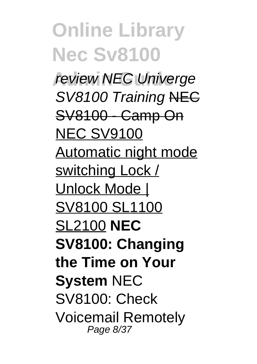**Online Library Nec Sv8100 review NEC Univerge** SV8100 Training NEG SV8100 - Camp On **NEC SV9100** Automatic night mode switching Lock / Unlock Mode | SV8100 SL1100 SL2100 **NEC SV8100: Changing the Time on Your System** NEC SV8100: Check Voicemail Remotely Page 8/37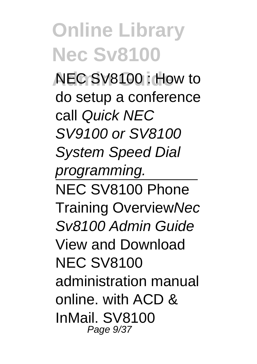**Admin Guide** NEC SV8100 : How to do setup a conference call Quick NEC SV9100 or SV8100 System Speed Dial programming. NEC SV8100 Phone Training OverviewNec Sv8100 Admin Guide View and Download NEC SV8100 administration manual online. with ACD & InMail. SV8100 Page  $9/37$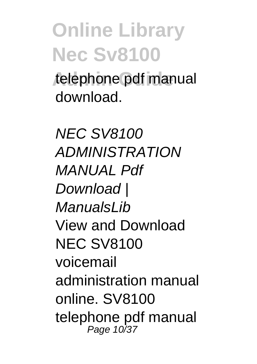telephone pdf manual download.

NEC SV8100 ADMINISTRATION MANIJAI Pdf Download I ManualsLih View and Download NEC SV8100 voicemail administration manual online. SV8100 telephone pdf manual Page 10/37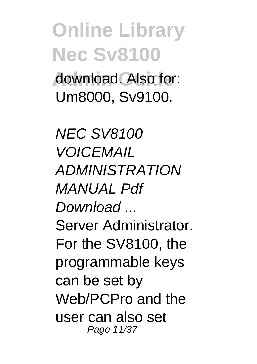#### **Online Library Nec Sv8100 Admin Guide** download. Also for: Um8000, Sv9100.

NEC SV8100 **VOICEMAIL** ADMINISTRATION MANIJAI Pdf Download ... Server Administrator. For the SV8100, the programmable keys can be set by Web/PCPro and the user can also set Page 11/37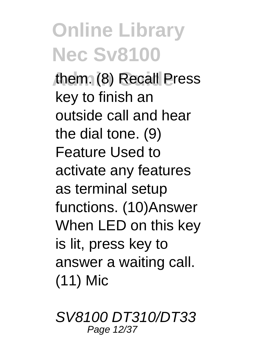**Admin Guide** them. (8) Recall Press key to finish an outside call and hear the dial tone. (9) Feature Used to activate any features as terminal setup functions. (10)Answer When LED on this key is lit, press key to answer a waiting call. (11) Mic

SV8100 DT310/DT33 Page 12/37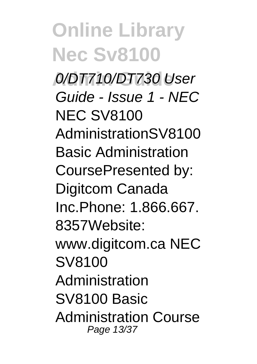**Admin Guide** 0/DT710/DT730 User Guide - Issue 1 - NEC NEC SV8100 AdministrationSV8100 Basic Administration CoursePresented by: Digitcom Canada Inc.Phone: 1.866.667. 8357Website: www.digitcom.ca NEC SV8100 Administration SV8100 Basic Administration Course Page 13/37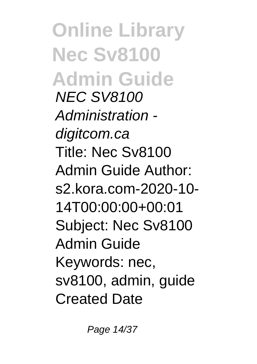**Online Library Nec Sv8100 Admin Guide** NEC SV8100 Administration digitcom.ca Title: Nec Sv8100 Admin Guide Author: s2.kora.com-2020-10- 14T00:00:00+00:01 Subject: Nec Sv8100 Admin Guide Keywords: nec, sv8100, admin, guide Created Date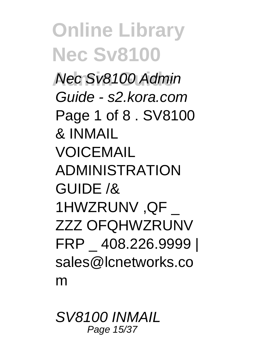**Admin Guide** Nec Sv8100 Admin Guide - s2.kora.com Page 1 of 8 . SV8100 & INMAIL VOICEMAIL ADMINISTRATION GUIDE /& 1HWZRUNV ,QF \_ ZZZ OFQHWZRUNV FRP \_ 408.226.9999 | sales@lcnetworks.co m

SV8100 INMAIL Page 15/37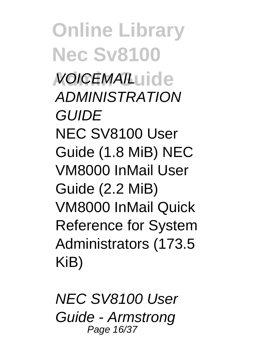**Online Library Nec Sv8100 Admin Guide** VOICEMAIL ADMINISTRATION **GUIDF** NEC SV8100 User Guide (1.8 MiB) NEC VM8000 InMail User Guide (2.2 MiB) VM8000 InMail Quick Reference for System Administrators (173.5 KiB)

NEC SV8100 User Guide - Armstrong Page 16/37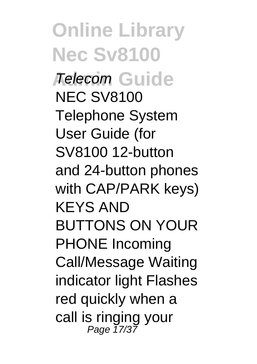**Online Library Nec Sv8100** *Adecom* Guide NEC SV8100 Telephone System User Guide (for SV8100 12-button and 24-button phones with CAP/PARK keys) KEYS AND BUTTONS ON YOUR PHONE Incoming Call/Message Waiting indicator light Flashes red quickly when a call is ringing your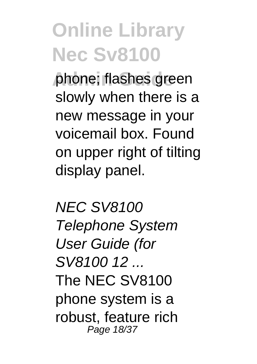**phone: flashes green** slowly when there is a new message in your voicemail box. Found on upper right of tilting display panel.

NEC SV8100 Telephone System User Guide (for SV8100 12 ... The NEC SV8100 phone system is a robust, feature rich Page 18/37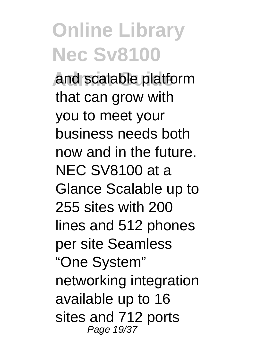**Admin Guide** and scalable platform that can grow with you to meet your business needs both now and in the future. NEC SV8100 at a Glance Scalable up to 255 sites with 200 lines and 512 phones per site Seamless "One System" networking integration available up to 16 sites and 712 ports Page 19/37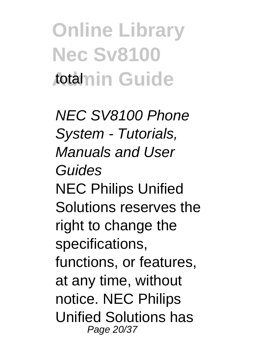**Online Library Nec Sv8100** Aotamin Guide

NEC SV8100 Phone System - Tutorials, Manuals and User Guides NEC Philips Unified Solutions reserves the right to change the specifications, functions, or features, at any time, without notice. NEC Philips Unified Solutions has Page 20/37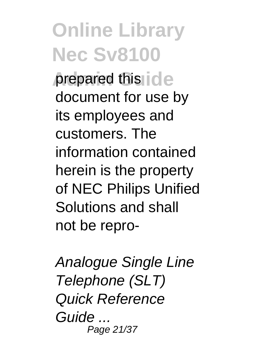**Online Library Nec Sv8100** prepared this ide document for use by its employees and customers. The information contained herein is the property of NEC Philips Unified Solutions and shall not be repro-

Analogue Single Line Telephone (SLT) Quick Reference Guide ... Page 21/37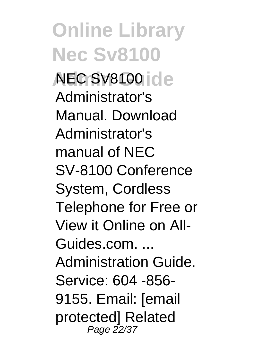**Online Library Nec Sv8100 Admin Guide** NEC SV8100 Administrator's Manual. Download Administrator's manual of NEC SV-8100 Conference System, Cordless Telephone for Free or View it Online on All-Guides.com. ... Administration Guide. Service: 604 -856- 9155. Email: [email protected] Related Page 22/37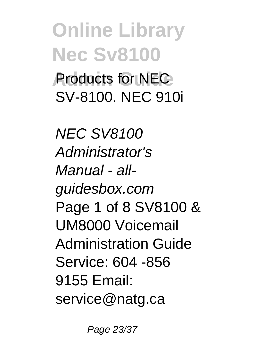**Online Library Nec Sv8100 Products for NEC** SV-8100. NEC 910i

NEC SV8100 Administrator's Manual - allguidesbox.com Page 1 of 8 SV8100 & UM8000 Voicemail Administration Guide Service: 604 -856 9155 Email: service@natg.ca

Page 23/37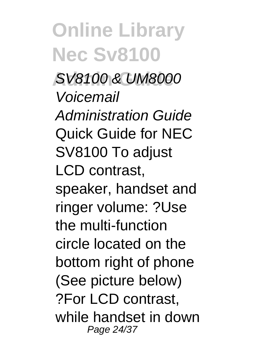**Online Library Nec Sv8100 Admin Guide** SV8100 & UM8000 Voicemail Administration Guide Quick Guide for NEC SV8100 To adjust LCD contrast, speaker, handset and ringer volume: ?Use the multi-function circle located on the bottom right of phone (See picture below) ?For LCD contrast, while handset in down Page 24/37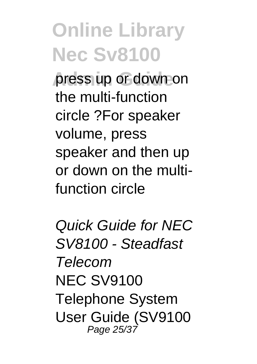**press up or down on** the multi-function circle ?For speaker volume, press speaker and then up or down on the multifunction circle

Quick Guide for NEC SV8100 - Steadfast Telecom **NEC SV9100** Telephone System User Guide (SV9100 Page 25/37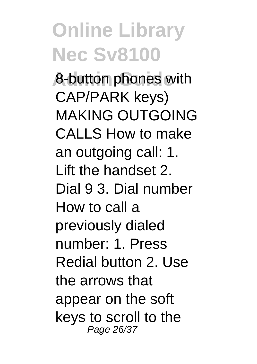**Admin Guide** 8-button phones with CAP/PARK keys) MAKING OUTGOING CALLS How to make an outgoing call: 1. Lift the handset 2. Dial 9 3. Dial number How to call a previously dialed number: 1. Press Redial button 2. Use the arrows that appear on the soft keys to scroll to the Page 26/37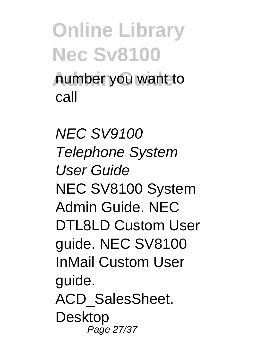**Online Library Nec Sv8100 Admin Guide** number you want to call

NEC SV9100 Telephone System User Guide NEC SV8100 System Admin Guide. NEC DTL8LD Custom User guide. NEC SV8100 InMail Custom User guide. ACD\_SalesSheet. Desktop Page 27/37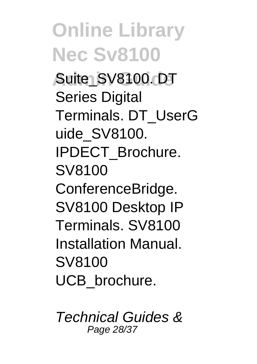**Auiter SV8100. DT Series Digital** Terminals. DT\_UserG uide\_SV8100. IPDECT\_Brochure. SV8100 ConferenceBridge. SV8100 Desktop IP Terminals. SV8100 Installation Manual. SV8100 UCB\_brochure.

Technical Guides & Page 28/37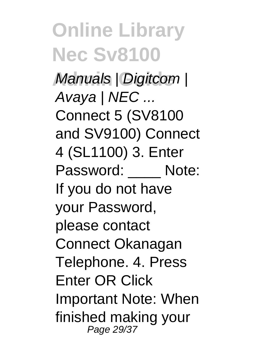# **Online Library Nec Sv8100 Manuals | Digitcom |** Avaya | NEC ...

Connect 5 (SV8100 and SV9100) Connect 4 (SL1100) 3. Enter Password: Note: If you do not have your Password, please contact Connect Okanagan Telephone. 4. Press Enter OR Click Important Note: When finished making your Page 29/37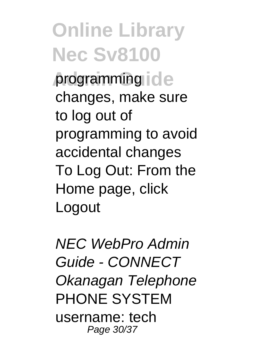**Online Library Nec Sv8100 programming ide** changes, make sure to log out of programming to avoid accidental changes To Log Out: From the Home page, click **Logout** 

NEC WebPro Admin Guide - CONNECT Okanagan Telephone PHONE SYSTEM username: tech Page 30/37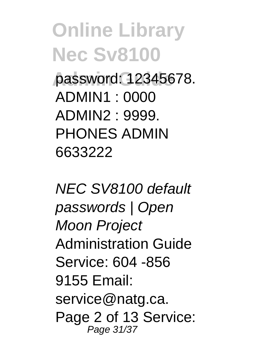**Admin Guide** password: 12345678. ADMIN1 : 0000 ADMIN2 : 9999. PHONES ADMIN 6633222

NEC SV8100 default passwords | Open Moon Project Administration Guide Service: 604 -856 9155 Email: service@natg.ca. Page 2 of 13 Service: Page 31/37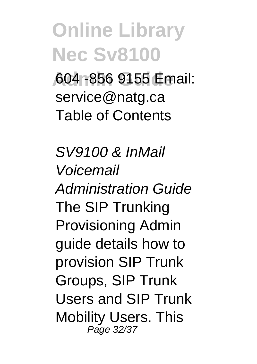**Admin Guide** 604 -856 9155 Email: service@natg.ca Table of Contents

SV9100 & InMail Voicemail Administration Guide The SIP Trunking Provisioning Admin guide details how to provision SIP Trunk Groups, SIP Trunk Users and SIP Trunk Mobility Users. This Page 32/37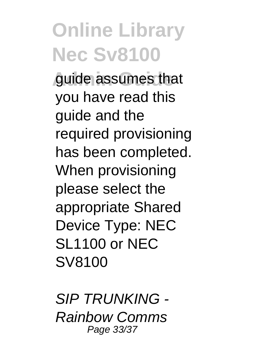**Admin Guide** guide assumes that you have read this guide and the required provisioning has been completed. When provisioning please select the appropriate Shared Device Type: NEC SL1100 or NEC SV8100

SIP TRUNKING - Rainbow Comms Page 33/37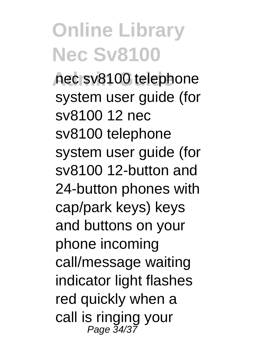**Admin Guide** nec sv8100 telephone system user quide (for sv8100 12 nec sv8100 telephone system user quide (for sv8100 12-button and 24-button phones with cap/park keys) keys and buttons on your phone incoming call/message waiting indicator light flashes red quickly when a call is ringing your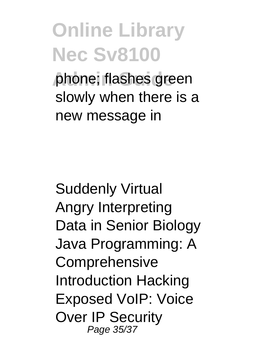**Online Library Nec Sv8100 phone: flashes green** slowly when there is a

new message in

Suddenly Virtual Angry Interpreting Data in Senior Biology Java Programming: A **Comprehensive** Introduction Hacking Exposed VoIP: Voice Over IP Security Page 35/37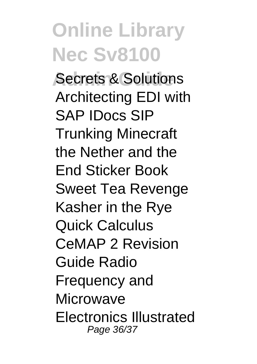**Administrations** Architecting EDI with SAP IDocs SIP Trunking Minecraft the Nether and the End Sticker Book Sweet Tea Revenge Kasher in the Rye Quick Calculus CeMAP 2 Revision Guide Radio Frequency and **Microwave** Electronics Illustrated Page 36/37